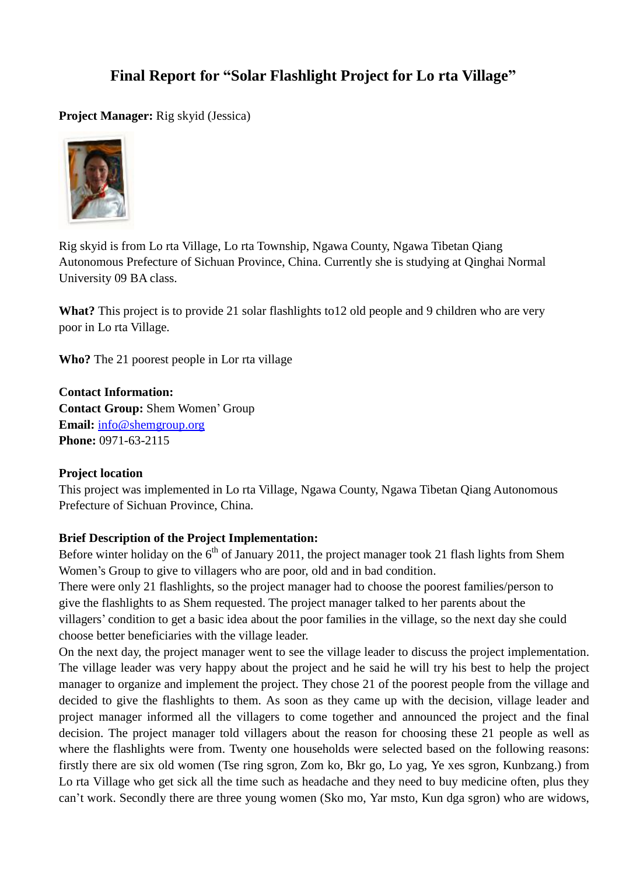# **Final Report for "Solar Flashlight Project for Lo rta Village"**

**Project Manager:** Rig skyid (Jessica)



Rig skyid is from Lo rta Village, Lo rta Township, Ngawa County, Ngawa Tibetan Qiang Autonomous Prefecture of Sichuan Province, China. Currently she is studying at Qinghai Normal University 09 BA class.

**What?** This project is to provide 21 solar flashlights to12 old people and 9 children who are very poor in Lo rta Village.

**Who?** The 21 poorest people in Lor rta village

**Contact Information: Contact Group:** Shem Women' Group **Email:** [info@shemgroup.org](mailto:info@shemgroup.org) **Phone:** 0971-63-2115

#### **Project location**

This project was implemented in Lo rta Village, Ngawa County, Ngawa Tibetan Qiang Autonomous Prefecture of Sichuan Province, China.

#### **Brief Description of the Project Implementation:**

Before winter holiday on the  $6<sup>th</sup>$  of January 2011, the project manager took 21 flash lights from Shem Women's Group to give to villagers who are poor, old and in bad condition.

There were only 21 flashlights, so the project manager had to choose the poorest families/person to give the flashlights to as Shem requested. The project manager talked to her parents about the villagers' condition to get a basic idea about the poor families in the village, so the next day she could choose better beneficiaries with the village leader.

On the next day, the project manager went to see the village leader to discuss the project implementation. The village leader was very happy about the project and he said he will try his best to help the project manager to organize and implement the project. They chose 21 of the poorest people from the village and decided to give the flashlights to them. As soon as they came up with the decision, village leader and project manager informed all the villagers to come together and announced the project and the final decision. The project manager told villagers about the reason for choosing these 21 people as well as where the flashlights were from. Twenty one households were selected based on the following reasons: firstly there are six old women (Tse ring sgron, Zom ko, Bkr go, Lo yag, Ye xes sgron, Kunbzang.) from Lo rta Village who get sick all the time such as headache and they need to buy medicine often, plus they can't work. Secondly there are three young women (Sko mo, Yar msto, Kun dga sgron) who are widows,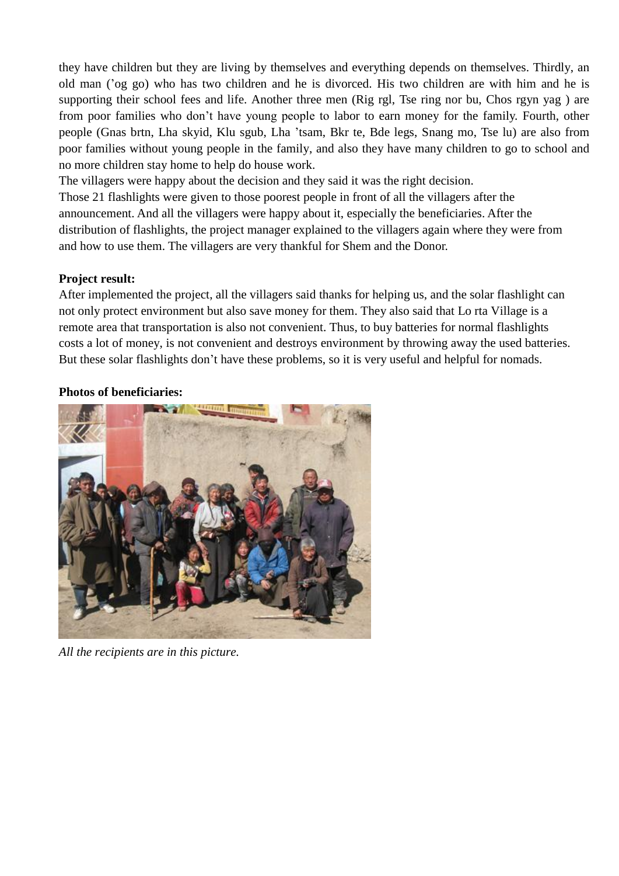they have children but they are living by themselves and everything depends on themselves. Thirdly, an old man ('og go) who has two children and he is divorced. His two children are with him and he is supporting their school fees and life. Another three men (Rig rgl, Tse ring nor bu, Chos rgyn yag ) are from poor families who don't have young people to labor to earn money for the family. Fourth, other people (Gnas brtn, Lha skyid, Klu sgub, Lha 'tsam, Bkr te, Bde legs, Snang mo, Tse lu) are also from poor families without young people in the family, and also they have many children to go to school and no more children stay home to help do house work.

The villagers were happy about the decision and they said it was the right decision. Those 21 flashlights were given to those poorest people in front of all the villagers after the announcement. And all the villagers were happy about it, especially the beneficiaries. After the distribution of flashlights, the project manager explained to the villagers again where they were from and how to use them. The villagers are very thankful for Shem and the Donor.

#### **Project result:**

After implemented the project, all the villagers said thanks for helping us, and the solar flashlight can not only protect environment but also save money for them. They also said that Lo rta Village is a remote area that transportation is also not convenient. Thus, to buy batteries for normal flashlights costs a lot of money, is not convenient and destroys environment by throwing away the used batteries. But these solar flashlights don't have these problems, so it is very useful and helpful for nomads.

#### **Photos of beneficiaries:**



*All the recipients are in this picture.*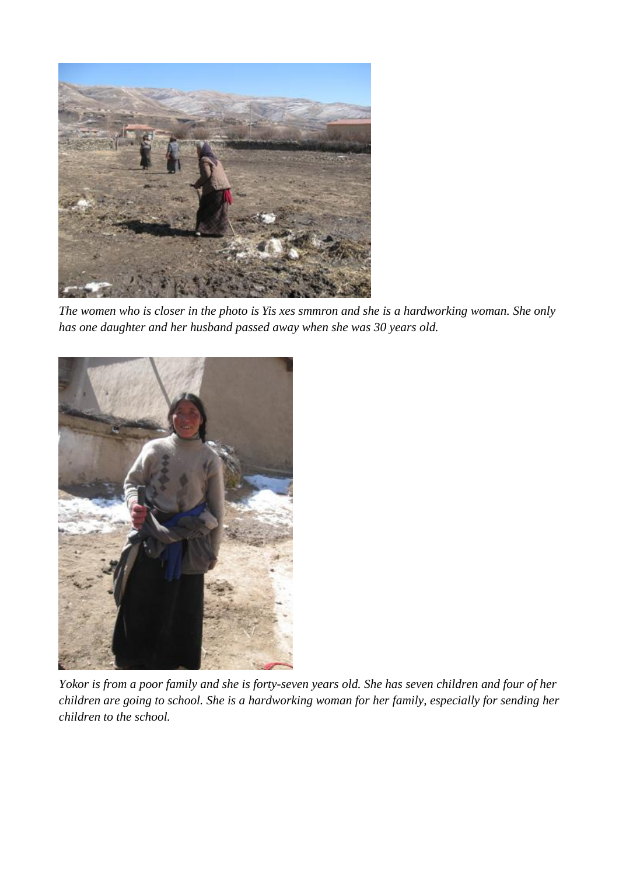

*The women who is closer in the photo is Yis xes smmron and she is a hardworking woman. She only has one daughter and her husband passed away when she was 30 years old.*



*Yokor is from a poor family and she is forty-seven years old. She has seven children and four of her children are going to school. She is a hardworking woman for her family, especially for sending her children to the school.*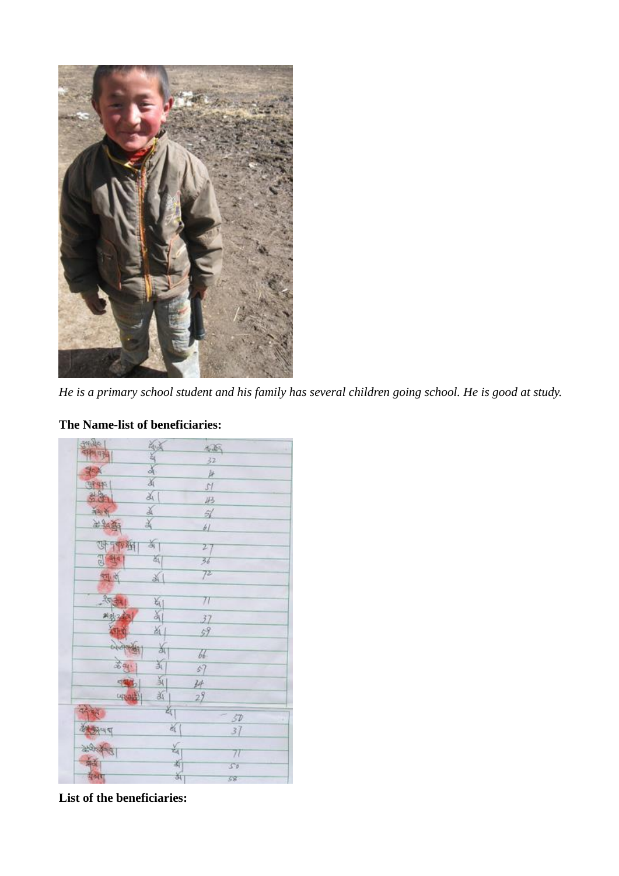

*He is a primary school student and his family has several children going school. He is good at study.*

#### $425$ 32  $\mu$ K 冲制  $51$ 函  $43$ ă  $\frac{1}{2}$ 美国 高业务 ¥  $H$ जनकुम् का  $27$ 蓟  $9.94$  $36$  $72$ 前 西  $71$ 划 副  $37$ K. 59 当  $66.$ X 学习  $s7$ 义 中国 孙 近  $29$ upad শ্ৰী 50  $\frac{1}{2}$  $37$ ર્વ  $71$ 断 50 केंग 58

## **The Name-list of beneficiaries:**

**List of the beneficiaries:**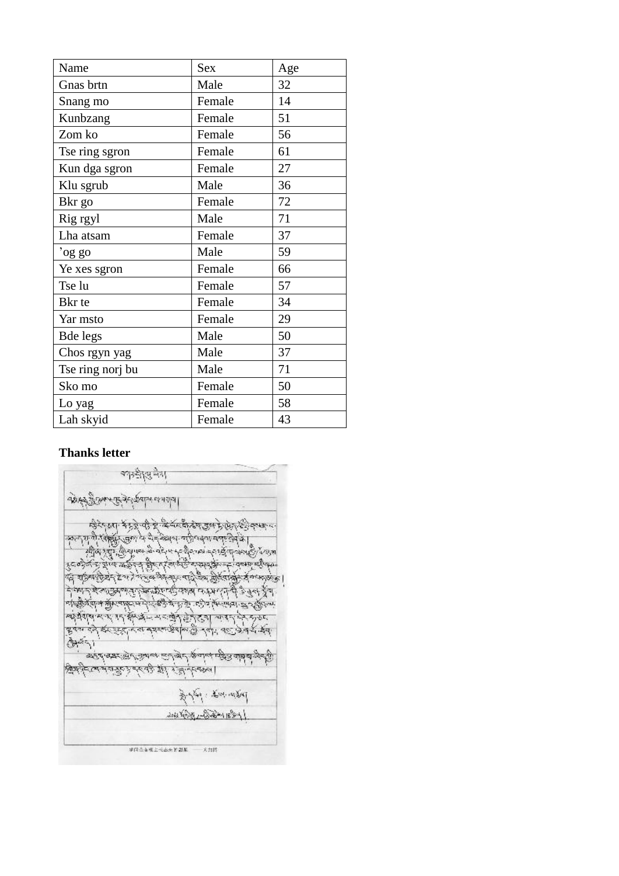| Name             | <b>Sex</b> | Age |
|------------------|------------|-----|
| Gnas brtn        | Male       | 32  |
| Snang mo         | Female     | 14  |
| Kunbzang         | Female     | 51  |
| Zom ko           | Female     | 56  |
| Tse ring sgron   | Female     | 61  |
| Kun dga sgron    | Female     | 27  |
| Klu sgrub        | Male       | 36  |
| Bkr go           | Female     | 72  |
| Rig rgyl         | Male       | 71  |
| Lha atsam        | Female     | 37  |
| 'og go           | Male       | 59  |
| Ye xes sgron     | Female     | 66  |
| Tse lu           | Female     | 57  |
| Bkr te           | Female     | 34  |
| Yar msto         | Female     | 29  |
| Bde legs         | Male       | 50  |
| Chos rgyn yag    | Male       | 37  |
| Tse ring norj bu | Male       | 71  |
| Sko mo           | Female     | 50  |
| Lo yag           | Female     | 58  |
| Lah skyid        | Female     | 43  |

# **Thanks letter**

|        | क्तान्डी हिस्सा                                                                                                                                       |                       |  |
|--------|-------------------------------------------------------------------------------------------------------------------------------------------------------|-----------------------|--|
|        | 1043 Port Control polar et al alal                                                                                                                    |                       |  |
|        | क्षिपे पूजा में मुद्दे पहुँचे के बिसंबर्ध के देश कुछ मुख्य के पुजा के पुजा के प<br>અન્ય મે પ્રાણિ હતા તે પૈત્રીઓને પરિત્યન વર્ષા દેવોને               |                       |  |
|        | ကြီးရာ ဂျီး ဂျီးမွေးစေးခါ ဝင်းမ နှင့်ရီးပေးခဲ့ရေး၌ ဂျာဒ်မည်ပုံ အမ<br>र्यक्ष्ये के देखि अछिन्द क्षेत्र (संस्कृत्येद्विकार्यक्रम् ने वन्मान्दीक्ष्म     |                       |  |
|        | द्ध् शङ्गबर्रहेन्द्रं देशरे समुद्धश्रेष्ठमा पादेश्वेष होरेसा <del>बोर्ड व</del> िष्कृत्यम् ।<br>नेक्शन देखानुसुलानुरुकेकोल्फिक्शन कश्मरानी अनुसार्जुन |                       |  |
|        | etogyglal a Arcadera distaga gilla i se a larindal 27 Altrai<br>ब्क्षेशल रूप, गए क्षेत्र्फ्रेंच मराखेन हेर्नुहुत् चारण के स्नुका                      |                       |  |
| أستقطع | बूर्पस देने ईर इस्ट्रेन्ट के समस्लाईपाल के नवीर पड़ केन दें कैन्                                                                                      |                       |  |
|        | क्टूर् बन्नः सिर्माञ्जन्तः सम्बिन् कूर्णन्तं पत्रित वांबेषे जुन्मी]<br>ক্ষ্ণিক দুট দুট ক্ষ্ণসম্পূৰ্ণ কৰিবলৈ।                                          |                       |  |
|        |                                                                                                                                                       | مجانبها وسيجد المعيان |  |
|        |                                                                                                                                                       | 14311-297-1897        |  |
|        | 建闭造合模主长出来的型尾                                                                                                                                          | 8. JUNI               |  |